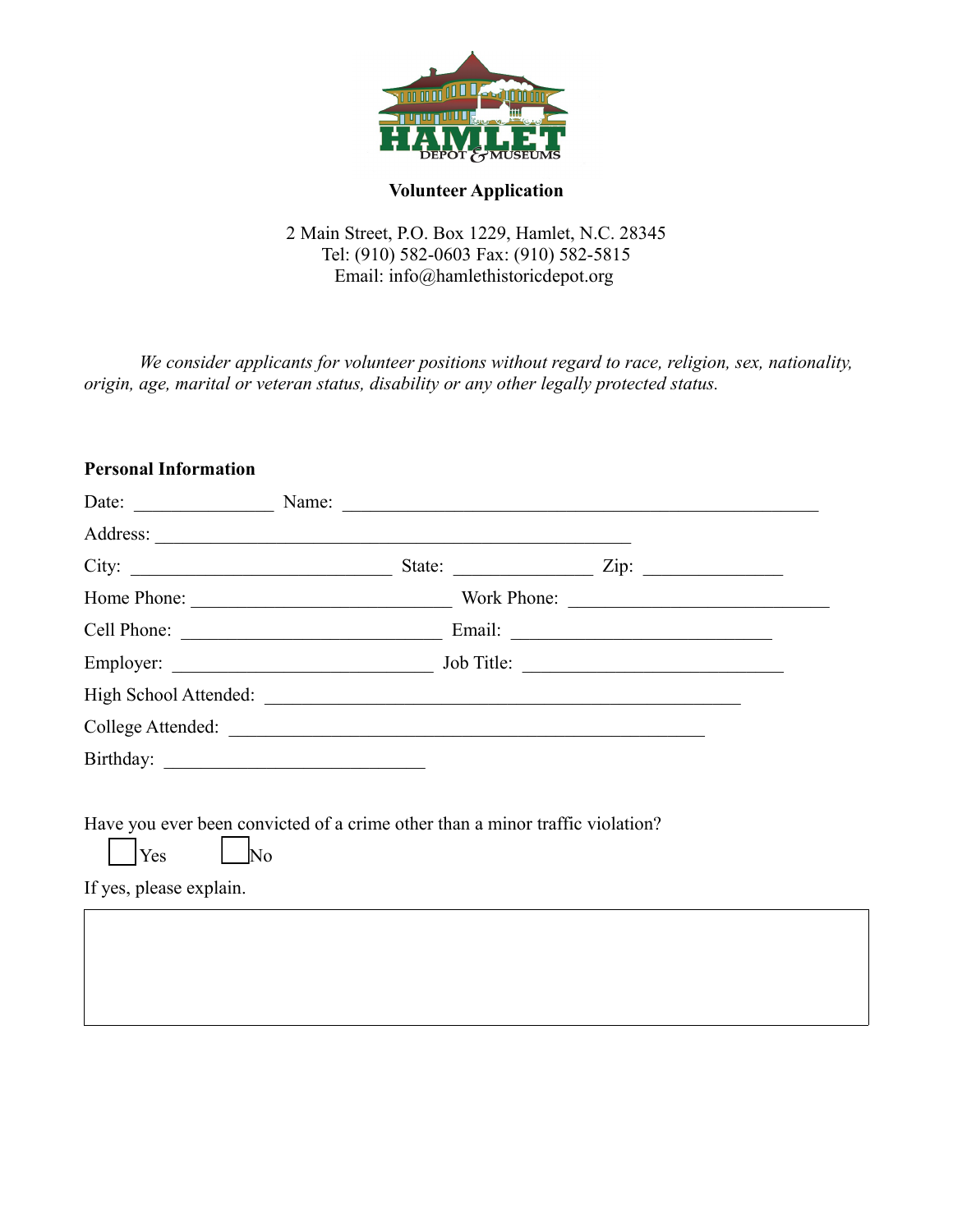

## **Volunteer Application**

2 Main Street, P.O. Box 1229, Hamlet, N.C. 28345 Tel: (910) 582-0603 Fax: (910) 582-5815 Email: info@hamlethistoricdepot.org

*We consider applicants for volunteer positions without regard to race, religion, sex, nationality, origin, age, marital or veteran status, disability or any other legally protected status.*

# **Personal Information**

|                                                                                                      | Date: <u>Name:</u> Name: Name: 2008. Name: 2008. Name: 2008. Name: 2008. Name: 2008. Name: 2008. Name: 2008. Name: 2008. Name: 2008. Name: 2008. Name: 2008. Name: 2008. Name: 2008. Name: 2008. Name: 2008. Name: 2008. Name: 2008 |
|------------------------------------------------------------------------------------------------------|-------------------------------------------------------------------------------------------------------------------------------------------------------------------------------------------------------------------------------------|
|                                                                                                      |                                                                                                                                                                                                                                     |
|                                                                                                      |                                                                                                                                                                                                                                     |
|                                                                                                      |                                                                                                                                                                                                                                     |
|                                                                                                      |                                                                                                                                                                                                                                     |
|                                                                                                      |                                                                                                                                                                                                                                     |
|                                                                                                      |                                                                                                                                                                                                                                     |
|                                                                                                      |                                                                                                                                                                                                                                     |
|                                                                                                      |                                                                                                                                                                                                                                     |
| Have you ever been convicted of a crime other than a minor traffic violation?<br>$\overline{\rm No}$ |                                                                                                                                                                                                                                     |
|                                                                                                      |                                                                                                                                                                                                                                     |
|                                                                                                      |                                                                                                                                                                                                                                     |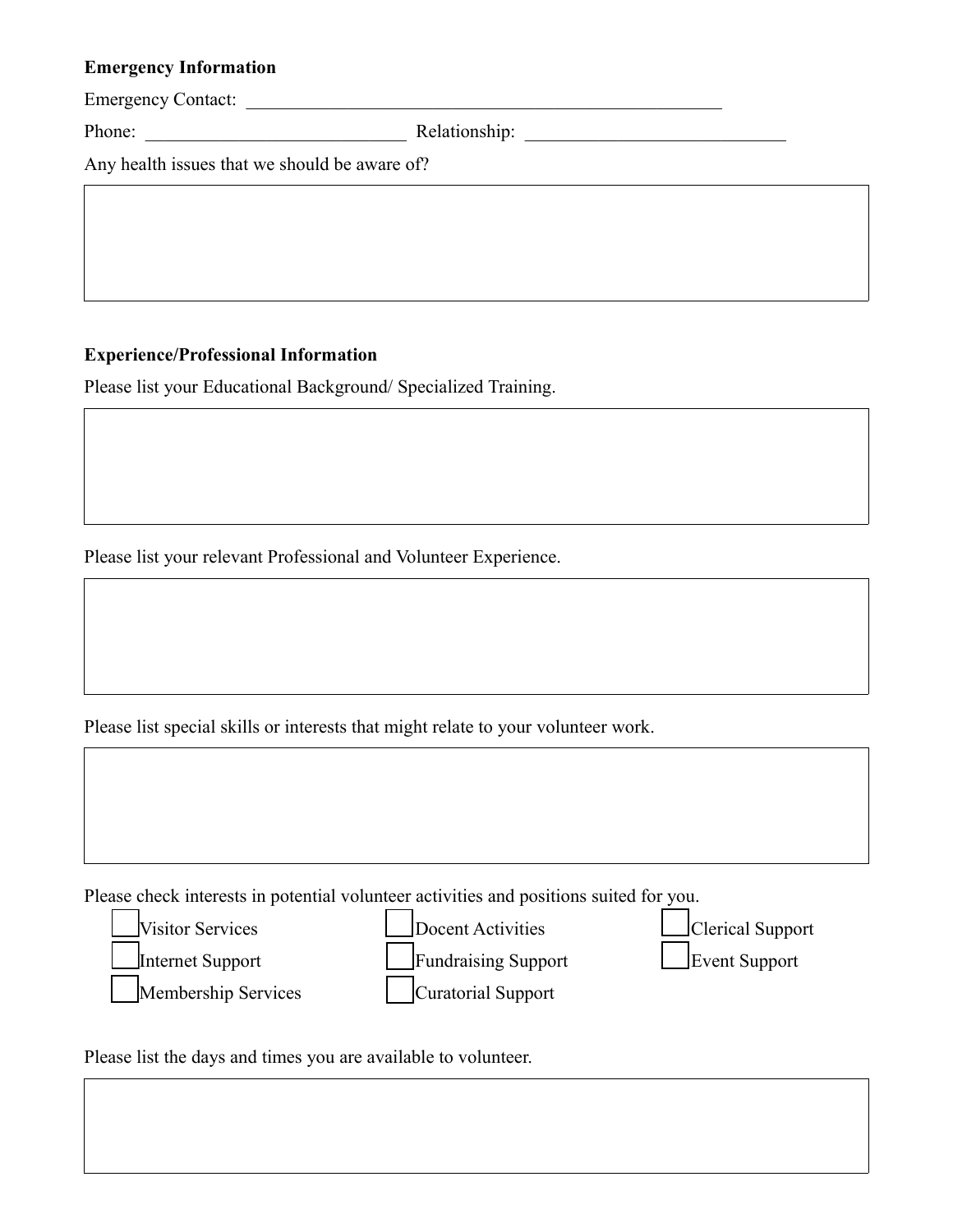### **Emergency Information**

Emergency Contact: \_\_\_\_\_\_\_\_\_\_\_\_\_\_\_\_\_\_\_\_\_\_\_\_\_\_\_\_\_\_\_\_\_\_\_\_\_\_\_\_\_\_\_\_\_\_\_\_\_\_\_

Phone: \_\_\_\_\_\_\_\_\_\_\_\_\_\_\_\_\_\_\_\_\_\_\_\_\_\_\_\_ Relationship: \_\_\_\_\_\_\_\_\_\_\_\_\_\_\_\_\_\_\_\_\_\_\_\_\_\_\_\_

Any health issues that we should be aware of?

# **Experience/Professional Information**

Please list your Educational Background/ Specialized Training.

Please list your relevant Professional and Volunteer Experience.

Please list special skills or interests that might relate to your volunteer work.

Please check interests in potential volunteer activities and positions suited for you.



Please list the days and times you are available to volunteer.